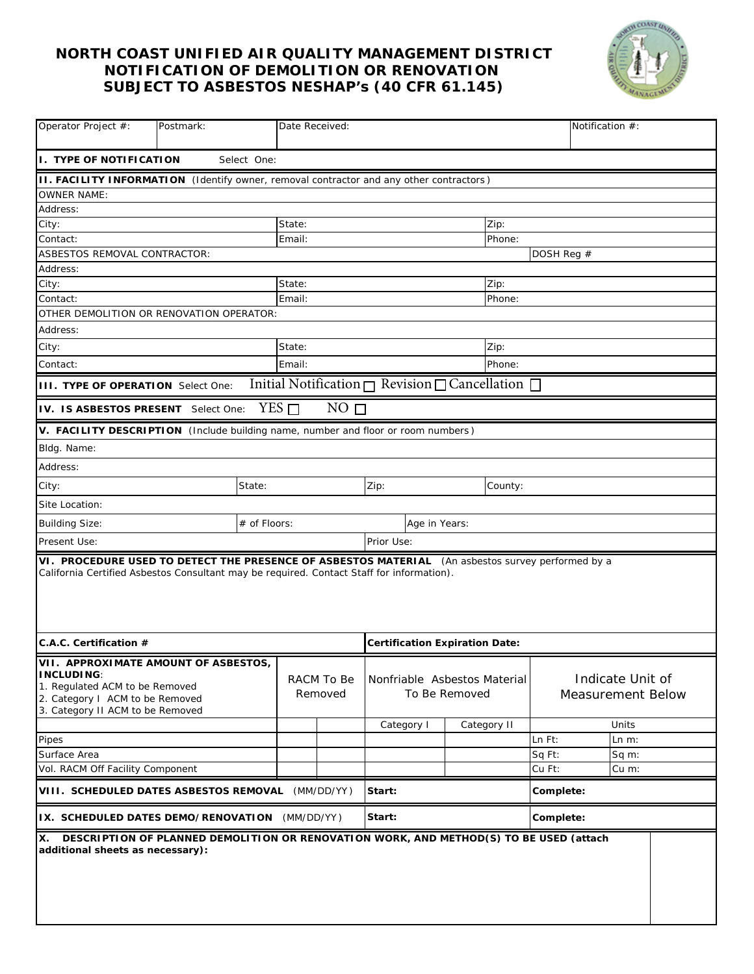## **NORTH COAST UNIFIED AIR QUALITY MANAGEMENT DISTRICT NOTIFICATION OF DEMOLITION OR RENOVATION SUBJECT TO ASBESTOS NESHAP's (40 CFR 61.145)**



| Operator Project #:<br>Postmark:                                                                                                                                                               |                  | Date Received:        |        |                                               | Notification #:                                                 |                                              |         |  |
|------------------------------------------------------------------------------------------------------------------------------------------------------------------------------------------------|------------------|-----------------------|--------|-----------------------------------------------|-----------------------------------------------------------------|----------------------------------------------|---------|--|
| I. TYPE OF NOTIFICATION<br>Select One:                                                                                                                                                         |                  |                       |        |                                               |                                                                 |                                              |         |  |
| <b>II. FACILITY INFORMATION</b> (Identify owner, removal contractor and any other contractors)                                                                                                 |                  |                       |        |                                               |                                                                 |                                              |         |  |
| <b>OWNER NAME:</b>                                                                                                                                                                             |                  |                       |        |                                               |                                                                 |                                              |         |  |
| Address:                                                                                                                                                                                       |                  |                       |        |                                               |                                                                 |                                              |         |  |
| City:                                                                                                                                                                                          |                  |                       | State: |                                               |                                                                 | Zip:                                         |         |  |
| Contact:                                                                                                                                                                                       |                  |                       | Email: |                                               |                                                                 | Phone:                                       |         |  |
| ASBESTOS REMOVAL CONTRACTOR:                                                                                                                                                                   |                  |                       |        | DOSH Reg #                                    |                                                                 |                                              |         |  |
| Address:                                                                                                                                                                                       |                  |                       |        |                                               |                                                                 |                                              |         |  |
| City:                                                                                                                                                                                          |                  | State:                |        | Zip:                                          |                                                                 |                                              |         |  |
| Contact:                                                                                                                                                                                       |                  | Email:                |        |                                               | Phone:                                                          |                                              |         |  |
| OTHER DEMOLITION OR RENOVATION OPERATOR:                                                                                                                                                       |                  |                       |        |                                               |                                                                 |                                              |         |  |
| Address:                                                                                                                                                                                       |                  |                       |        |                                               |                                                                 |                                              |         |  |
| City:                                                                                                                                                                                          | State:<br>Zip:   |                       |        |                                               |                                                                 |                                              |         |  |
| Contact:                                                                                                                                                                                       | Email:<br>Phone: |                       |        |                                               |                                                                 |                                              |         |  |
| <b>IIII. TYPE OF OPERATION</b> Select One:                                                                                                                                                     |                  |                       |        |                                               | Initial Notification $\Box$ Revision $\Box$ Cancellation $\Box$ |                                              |         |  |
| $YES$ $\Box$<br>NO <sub>1</sub><br>IV. IS ASBESTOS PRESENT Select One:                                                                                                                         |                  |                       |        |                                               |                                                                 |                                              |         |  |
| V. FACILITY DESCRIPTION (Include building name, number and floor or room numbers)                                                                                                              |                  |                       |        |                                               |                                                                 |                                              |         |  |
| Bldg. Name:                                                                                                                                                                                    |                  |                       |        |                                               |                                                                 |                                              |         |  |
| Address:                                                                                                                                                                                       |                  |                       |        |                                               |                                                                 |                                              |         |  |
| City:                                                                                                                                                                                          | State:           |                       |        | Zip:<br>County:                               |                                                                 |                                              |         |  |
| Site Location:                                                                                                                                                                                 |                  |                       |        |                                               |                                                                 |                                              |         |  |
| <b>Building Size:</b>                                                                                                                                                                          | # of Floors:     |                       |        | Age in Years:                                 |                                                                 |                                              |         |  |
| Present Use:                                                                                                                                                                                   |                  |                       |        | Prior Use:                                    |                                                                 |                                              |         |  |
| VI. PROCEDURE USED TO DETECT THE PRESENCE OF ASBESTOS MATERIAL (An asbestos survey performed by a<br>California Certified Asbestos Consultant may be required. Contact Staff for information). |                  |                       |        |                                               |                                                                 |                                              |         |  |
| C.A.C. Certification #                                                                                                                                                                         |                  |                       |        | <b>Certification Expiration Date:</b>         |                                                                 |                                              |         |  |
| VII. APPROXIMATE AMOUNT OF ASBESTOS,<br><b>INCLUDING:</b><br>1. Regulated ACM to be Removed<br>2. Category I ACM to be Removed<br>3. Category II ACM to be Removed                             |                  | RACM To Be<br>Removed |        | Nonfriable Asbestos Material<br>To Be Removed |                                                                 | Indicate Unit of<br><b>Measurement Below</b> |         |  |
|                                                                                                                                                                                                |                  |                       |        | Category I                                    | Category II                                                     |                                              | Units   |  |
| Pipes                                                                                                                                                                                          |                  |                       |        |                                               |                                                                 | Ln Ft:                                       | $Ln$ m: |  |
| Surface Area<br>Vol. RACM Off Facility Component                                                                                                                                               |                  |                       |        |                                               |                                                                 | Sq Ft:<br>Cu Ft:                             | Sq m:   |  |
|                                                                                                                                                                                                |                  |                       |        |                                               |                                                                 |                                              | Cu m:   |  |
| VIII. SCHEDULED DATES ASBESTOS REMOVAL (MM/DD/YY)                                                                                                                                              |                  |                       | Start: |                                               | Complete:                                                       |                                              |         |  |
| IX. SCHEDULED DATES DEMO/RENOVATION (MM/DD/YY)                                                                                                                                                 |                  |                       |        | Start:                                        |                                                                 | Complete:                                    |         |  |
| DESCRIPTION OF PLANNED DEMOLITION OR RENOVATION WORK, AND METHOD(S) TO BE USED (attach<br>IX.<br>additional sheets as necessary):                                                              |                  |                       |        |                                               |                                                                 |                                              |         |  |